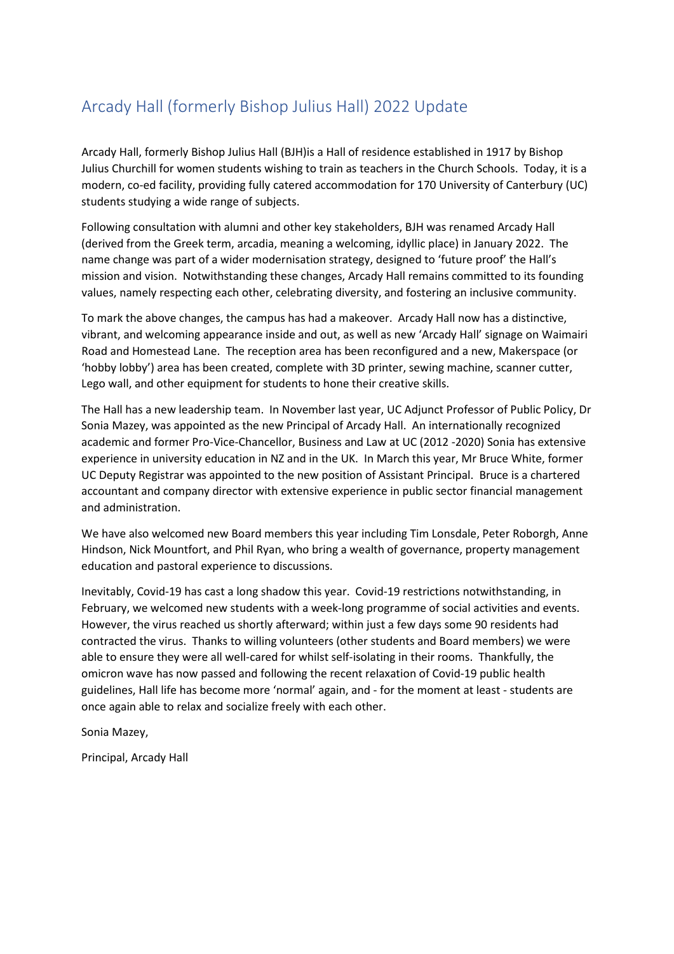## Arcady Hall (formerly Bishop Julius Hall) 2022 Update

Arcady Hall, formerly Bishop Julius Hall (BJH)is a Hall of residence established in 1917 by Bishop Julius Churchill for women students wishing to train as teachers in the Church Schools. Today, it is a modern, co-ed facility, providing fully catered accommodation for 170 University of Canterbury (UC) students studying a wide range of subjects.

Following consultation with alumni and other key stakeholders, BJH was renamed Arcady Hall (derived from the Greek term, arcadia, meaning a welcoming, idyllic place) in January 2022. The name change was part of a wider modernisation strategy, designed to 'future proof' the Hall's mission and vision. Notwithstanding these changes, Arcady Hall remains committed to its founding values, namely respecting each other, celebrating diversity, and fostering an inclusive community.

To mark the above changes, the campus has had a makeover. Arcady Hall now has a distinctive, vibrant, and welcoming appearance inside and out, as well as new 'Arcady Hall' signage on Waimairi Road and Homestead Lane. The reception area has been reconfigured and a new, Makerspace (or 'hobby lobby') area has been created, complete with 3D printer, sewing machine, scanner cutter, Lego wall, and other equipment for students to hone their creative skills.

The Hall has a new leadership team. In November last year, UC Adjunct Professor of Public Policy, Dr Sonia Mazey, was appointed as the new Principal of Arcady Hall. An internationally recognized academic and former Pro-Vice-Chancellor, Business and Law at UC (2012 -2020) Sonia has extensive experience in university education in NZ and in the UK. In March this year, Mr Bruce White, former UC Deputy Registrar was appointed to the new position of Assistant Principal. Bruce is a chartered accountant and company director with extensive experience in public sector financial management and administration.

We have also welcomed new Board members this year including Tim Lonsdale, Peter Roborgh, Anne Hindson, Nick Mountfort, and Phil Ryan, who bring a wealth of governance, property management education and pastoral experience to discussions.

Inevitably, Covid-19 has cast a long shadow this year. Covid-19 restrictions notwithstanding, in February, we welcomed new students with a week-long programme of social activities and events. However, the virus reached us shortly afterward; within just a few days some 90 residents had contracted the virus. Thanks to willing volunteers (other students and Board members) we were able to ensure they were all well-cared for whilst self-isolating in their rooms. Thankfully, the omicron wave has now passed and following the recent relaxation of Covid-19 public health guidelines, Hall life has become more 'normal' again, and - for the moment at least - students are once again able to relax and socialize freely with each other.

Sonia Mazey,

Principal, Arcady Hall